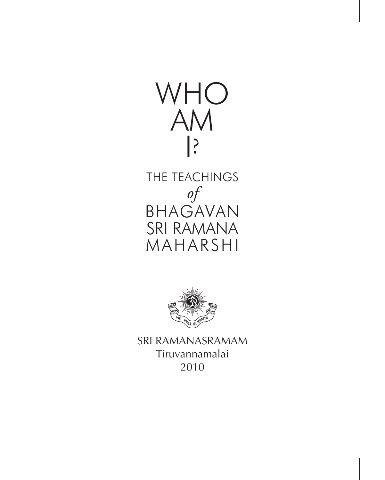

THE TEACHINGS *of* BHAGAVAN SRI RAMANA MAHARSHI



SRI RAMANASRAMAM Tiruvannamalai 2010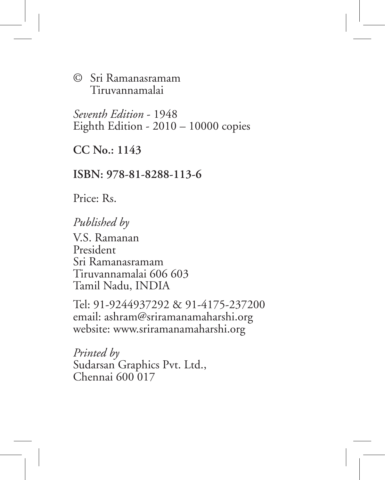© Sri Ramanasramam Tiruvannamalai

*Seventh Edition* - 1948 Eighth Edition - 2010 – 10000 copies

**CC No.: 1143**

**ISBN: 978-81-8288-113-6**

Price: Rs.

#### *Published by*

V.S. Ramanan President Sri Ramanasramam Tiruvannamalai 606 603 Tamil Nadu, INDIA

Tel: 91-9244937292 & 91-4175-237200 email: ashram@sriramanamaharshi.org website: www.sriramanamaharshi.org

*Printed by* Sudarsan Graphics Pvt. Ltd., Chennai 600 017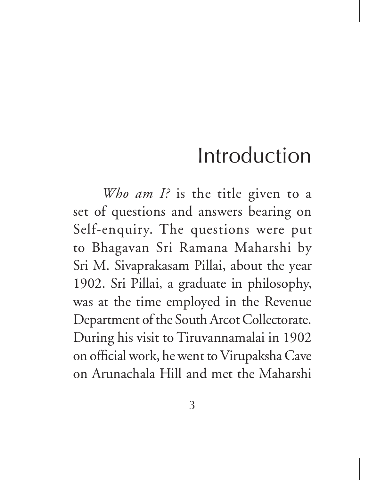# Introduction

*Who am I?* is the title given to a set of questions and answers bearing on Self-enquiry. The questions were put to Bhagavan Sri Ramana Maharshi by Sri M. Sivaprakasam Pillai, about the year 1902. Sri Pillai, a graduate in philosophy, was at the time employed in the Revenue Department of the South Arcot Collectorate. During his visit to Tiruvannamalai in 1902 on official work, he went to Virupaksha Cave on Arunachala Hill and met the Maharshi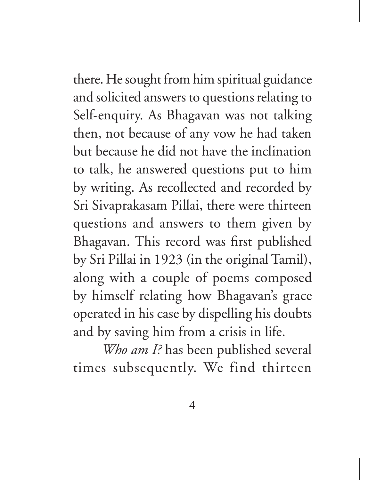there. He sought from him spiritual guidance and solicited answers to questions relating to Self-enquiry. As Bhagavan was not talking then, not because of any vow he had taken but because he did not have the inclination to talk, he answered questions put to him by writing. As recollected and recorded by Sri Sivaprakasam Pillai, there were thirteen questions and answers to them given by Bhagavan. This record was first published by Sri Pillai in 1923 (in the original Tamil), along with a couple of poems composed by himself relating how Bhagavan's grace operated in his case by dispelling his doubts and by saving him from a crisis in life.

*Who am I?* has been published several times subsequently. We find thirteen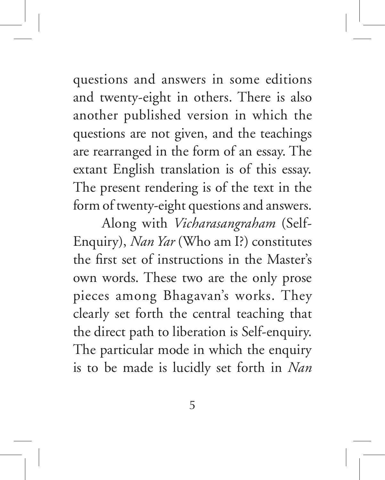questions and answers in some editions and twenty-eight in others. There is also another published version in which the questions are not given, and the teachings are rearranged in the form of an essay. The extant English translation is of this essay. The present rendering is of the text in the form of twenty-eight questions and answers.

Along with *Vicharasangraham* (Self-Enquiry), *Nan Yar* (Who am I?) constitutes the first set of instructions in the Master's own words. These two are the only prose pieces among Bhagavan's works. They clearly set forth the central teaching that the direct path to liberation is Self-enquiry. The particular mode in which the enquiry is to be made is lucidly set forth in *Nan*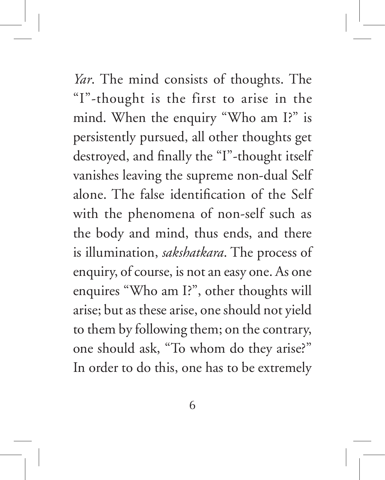*Yar*. The mind consists of thoughts. The "I"-thought is the first to arise in the mind. When the enquiry "Who am I?" is persistently pursued, all other thoughts get destroyed, and finally the "I"-thought itself vanishes leaving the supreme non-dual Self alone. The false identification of the Self with the phenomena of non-self such as the body and mind, thus ends, and there is illumination, *sakshatkara*. The process of enquiry, of course, is not an easy one. As one enquires "Who am I?", other thoughts will arise; but as these arise, one should not yield to them by following them; on the contrary, one should ask, "To whom do they arise?" In order to do this, one has to be extremely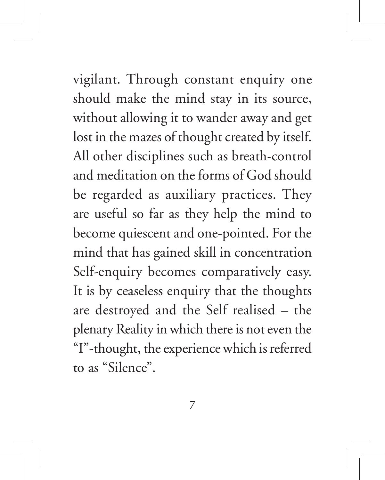vigilant. Through constant enquiry one should make the mind stay in its source, without allowing it to wander away and get lost in the mazes of thought created by itself. All other disciplines such as breath-control and meditation on the forms of God should be regarded as auxiliary practices. They are useful so far as they help the mind to become quiescent and one-pointed. For the mind that has gained skill in concentration Self-enquiry becomes comparatively easy. It is by ceaseless enquiry that the thoughts are destroyed and the Self realised – the plenary Reality in which there is not even the "I"-thought, the experience which is referred to as "Silence".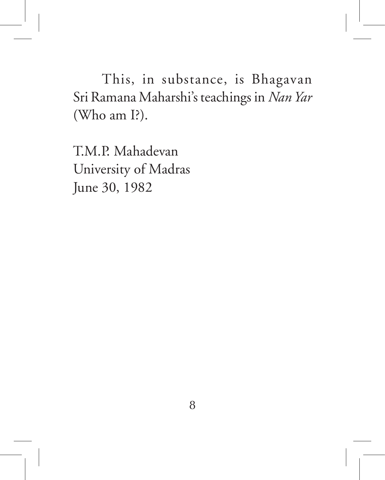This, in substance, is Bhagavan Sri Ramana Maharshi's teachings in *Nan Yar* (Who am I?).

T.M.P. Mahadevan University of Madras June 30, 1982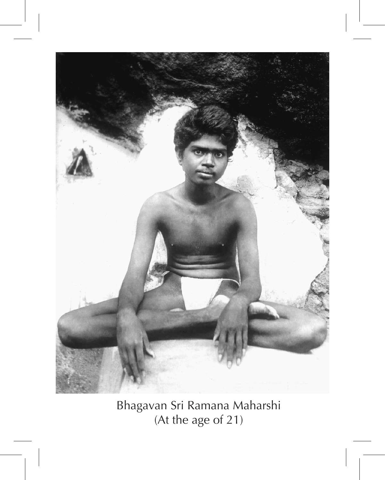

Bhagavan Sri Ramana Maharshi (At the age of 21)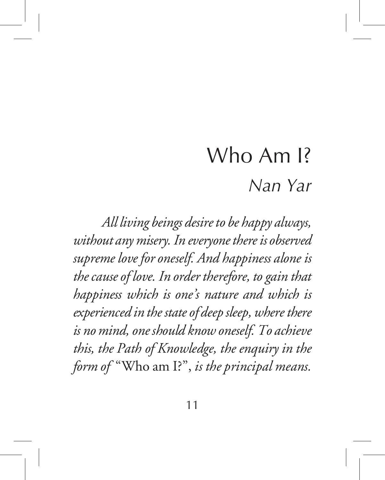# Who Am I? *Nan Yar*

*All living beings desire to be happy always, without any misery. In everyone there is observed supreme love for oneself. And happiness alone is the cause of love. In order therefore, to gain that happiness which is one's nature and which is experienced in the state of deep sleep, where there is no mind, one should know oneself. To achieve this, the Path of Knowledge, the enquiry in the form of* "Who am I?", *is the principal means.*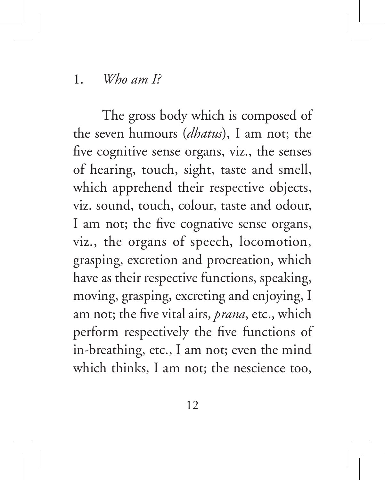#### 1. *Who am I?*

The gross body which is composed of the seven humours (*dhatus*), I am not; the five cognitive sense organs, viz., the senses of hearing, touch, sight, taste and smell, which apprehend their respective objects, viz. sound, touch, colour, taste and odour, I am not; the five cognative sense organs, viz., the organs of speech, locomotion, grasping, excretion and procreation, which have as their respective functions, speaking, moving, grasping, excreting and enjoying, I am not; the five vital airs, *prana*, etc., which perform respectively the five functions of in-breathing, etc., I am not; even the mind which thinks, I am not; the nescience too,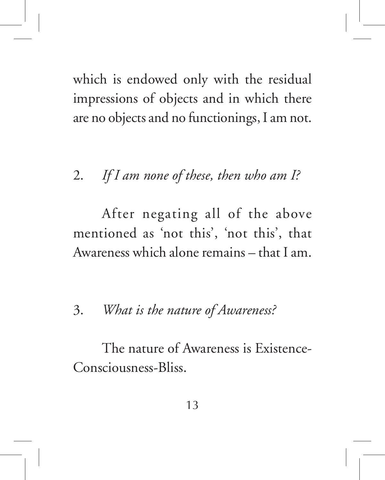which is endowed only with the residual impressions of objects and in which there are no objects and no functionings, I am not.

## 2. *If I am none of these, then who am I?*

After negating all of the above mentioned as 'not this', 'not this', that Awareness which alone remains – that I am.

#### 3. *What is the nature of Awareness?*

The nature of Awareness is Existence-Consciousness-Bliss.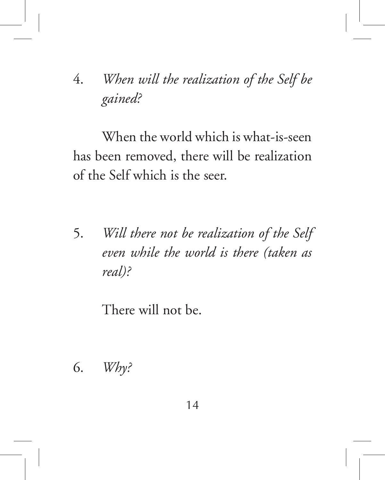# 4. *When will the realization of the Self be gained?*

When the world which is what-is-seen has been removed, there will be realization of the Self which is the seer.

5. *Will there not be realization of the Self even while the world is there (taken as real)?*

There will not be.

6. *Why?*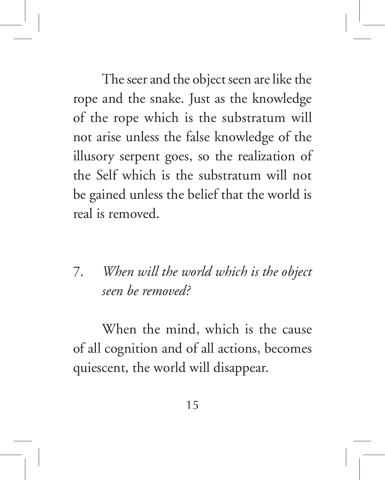The seer and the object seen are like the rope and the snake. Just as the knowledge of the rope which is the substratum will not arise unless the false knowledge of the illusory serpent goes, so the realization of the Self which is the substratum will not be gained unless the belief that the world is real is removed.

7. *When will the world which is the object seen be removed?*

When the mind, which is the cause of all cognition and of all actions, becomes quiescent, the world will disappear.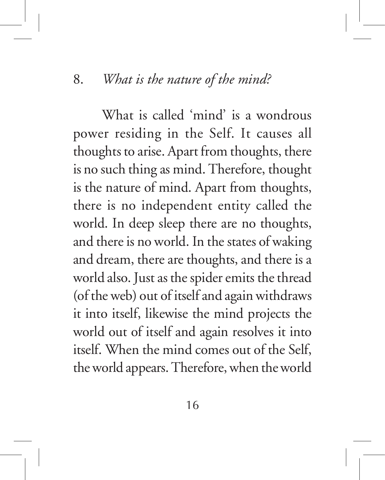#### 8. *What is the nature of the mind?*

What is called 'mind' is a wondrous power residing in the Self. It causes all thoughts to arise. Apart from thoughts, there is no such thing as mind. Therefore, thought is the nature of mind. Apart from thoughts, there is no independent entity called the world. In deep sleep there are no thoughts, and there is no world. In the states of waking and dream, there are thoughts, and there is a world also. Just as the spider emits the thread (of the web) out of itself and again withdraws it into itself, likewise the mind projects the world out of itself and again resolves it into itself. When the mind comes out of the Self, the world appears. Therefore, when the world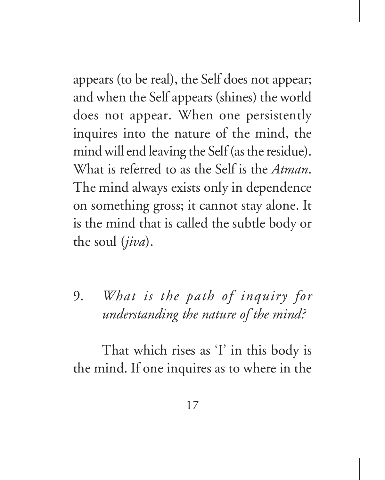appears (to be real), the Self does not appear; and when the Self appears (shines) the world does not appear. When one persistently inquires into the nature of the mind, the mind will end leaving the Self (as the residue). What is referred to as the Self is the *Atman*. The mind always exists only in dependence on something gross; it cannot stay alone. It is the mind that is called the subtle body or the soul (*jiva*).

9. *What is the path of inquiry for understanding the nature of the mind?*

That which rises as 'I' in this body is the mind. If one inquires as to where in the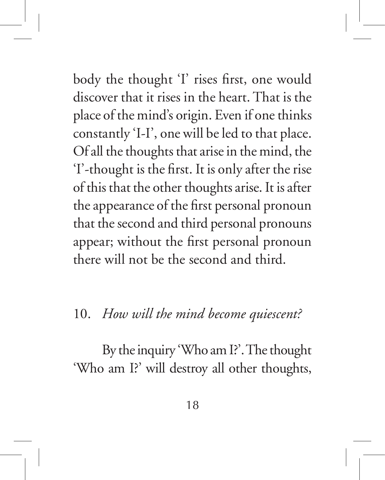body the thought 'I' rises first, one would discover that it rises in the heart. That is the place of the mind's origin. Even if one thinks constantly 'I-I', one will be led to that place. Of all the thoughts that arise in the mind, the 'I'-thought is the first. It is only after the rise of this that the other thoughts arise. It is after the appearance of the first personal pronoun that the second and third personal pronouns appear; without the first personal pronoun there will not be the second and third.

#### 10. *How will the mind become quiescent?*

By the inquiry 'Who am I?'. The thought 'Who am I?' will destroy all other thoughts,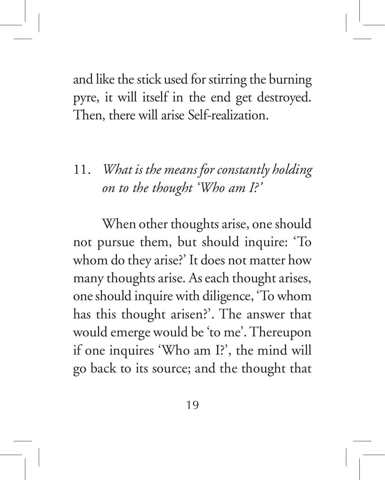and like the stick used for stirring the burning pyre, it will itself in the end get destroyed. Then, there will arise Self-realization.

11. *What is the means for constantly holding on to the thought 'Who am I?'*

When other thoughts arise, one should not pursue them, but should inquire: 'To whom do they arise?' It does not matter how many thoughts arise. As each thought arises, one should inquire with diligence, 'To whom has this thought arisen?'. The answer that would emerge would be 'to me'. Thereupon if one inquires 'Who am I?', the mind will go back to its source; and the thought that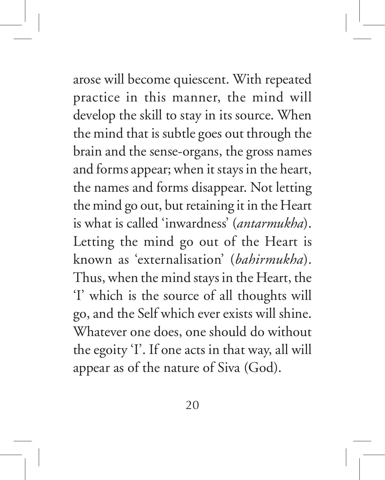arose will become quiescent. With repeated practice in this manner, the mind will develop the skill to stay in its source. When the mind that is subtle goes out through the brain and the sense-organs, the gross names and forms appear; when it stays in the heart, the names and forms disappear. Not letting the mind go out, but retaining it in the Heart is what is called 'inwardness' (*antarmukha*). Letting the mind go out of the Heart is known as 'externalisation' (*bahirmukha*). Thus, when the mind stays in the Heart, the 'I' which is the source of all thoughts will go, and the Self which ever exists will shine. Whatever one does, one should do without the egoity 'I'. If one acts in that way, all will appear as of the nature of Siva (God).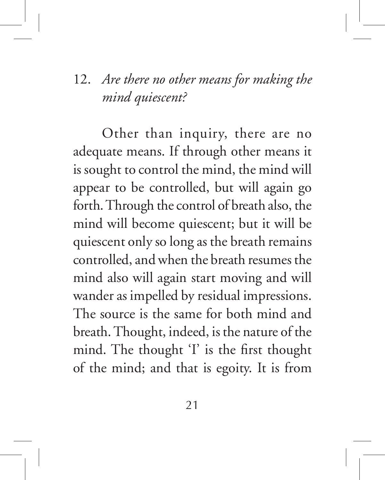# 12. *Are there no other means for making the mind quiescent?*

Other than inquiry, there are no adequate means. If through other means it is sought to control the mind, the mind will appear to be controlled, but will again go forth. Through the control of breath also, the mind will become quiescent; but it will be quiescent only so long as the breath remains controlled, and when the breath resumes the mind also will again start moving and will wander as impelled by residual impressions. The source is the same for both mind and breath. Thought, indeed, is the nature of the mind. The thought 'I' is the first thought of the mind; and that is egoity. It is from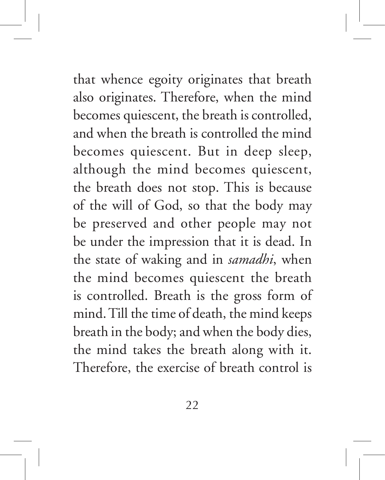that whence egoity originates that breath also originates. Therefore, when the mind becomes quiescent, the breath is controlled, and when the breath is controlled the mind becomes quiescent. But in deep sleep, although the mind becomes quiescent, the breath does not stop. This is because of the will of God, so that the body may be preserved and other people may not be under the impression that it is dead. In the state of waking and in *samadhi*, when the mind becomes quiescent the breath is controlled. Breath is the gross form of mind. Till the time of death, the mind keeps breath in the body; and when the body dies, the mind takes the breath along with it. Therefore, the exercise of breath control is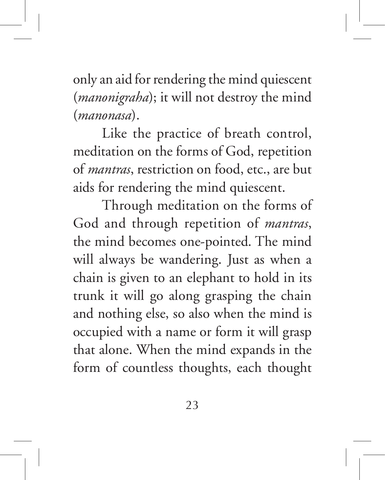only an aid for rendering the mind quiescent (*manonigraha*); it will not destroy the mind (*manonasa*).

Like the practice of breath control, meditation on the forms of God, repetition of *mantras*, restriction on food, etc., are but aids for rendering the mind quiescent.

Through meditation on the forms of God and through repetition of *mantras*, the mind becomes one-pointed. The mind will always be wandering. Just as when a chain is given to an elephant to hold in its trunk it will go along grasping the chain and nothing else, so also when the mind is occupied with a name or form it will grasp that alone. When the mind expands in the form of countless thoughts, each thought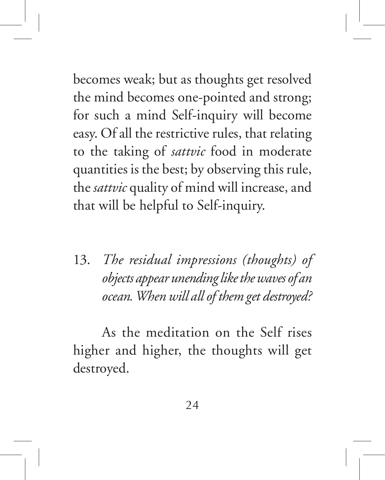becomes weak; but as thoughts get resolved the mind becomes one-pointed and strong; for such a mind Self-inquiry will become easy. Of all the restrictive rules, that relating to the taking of *sattvic* food in moderate quantities is the best; by observing this rule, the *sattvic* quality of mind will increase, and that will be helpful to Self-inquiry.

13. *The residual impressions (thoughts) of objects appear unending like the waves of an ocean. When will all of them get destroyed?*

As the meditation on the Self rises higher and higher, the thoughts will get destroyed.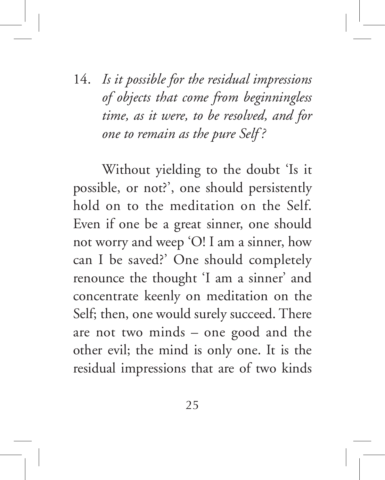14. *Is it possible for the residual impressions of objects that come from beginningless time, as it were, to be resolved, and for one to remain as the pure Self ?*

Without yielding to the doubt 'Is it possible, or not?', one should persistently hold on to the meditation on the Self. Even if one be a great sinner, one should not worry and weep 'O! I am a sinner, how can I be saved?' One should completely renounce the thought 'I am a sinner' and concentrate keenly on meditation on the Self; then, one would surely succeed. There are not two minds – one good and the other evil; the mind is only one. It is the residual impressions that are of two kinds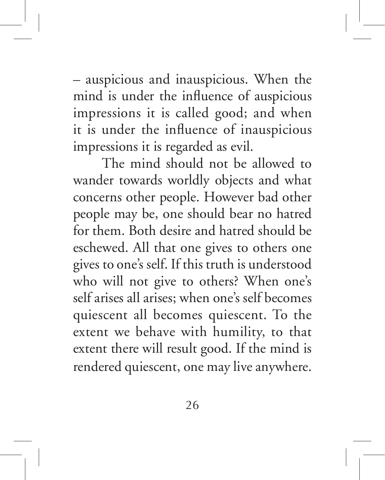– auspicious and inauspicious. When the mind is under the influence of auspicious impressions it is called good; and when it is under the influence of inauspicious impressions it is regarded as evil.

The mind should not be allowed to wander towards worldly objects and what concerns other people. However bad other people may be, one should bear no hatred for them. Both desire and hatred should be eschewed. All that one gives to others one gives to one's self. If this truth is understood who will not give to others? When one's self arises all arises; when one's self becomes quiescent all becomes quiescent. To the extent we behave with humility, to that extent there will result good. If the mind is rendered quiescent, one may live anywhere.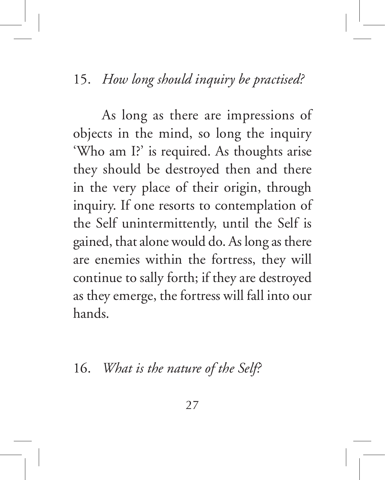#### 15. *How long should inquiry be practised?*

As long as there are impressions of objects in the mind, so long the inquiry 'Who am I?' is required. As thoughts arise they should be destroyed then and there in the very place of their origin, through inquiry. If one resorts to contemplation of the Self unintermittently, until the Self is gained, that alone would do. As long as there are enemies within the fortress, they will continue to sally forth; if they are destroyed as they emerge, the fortress will fall into our hands.

16. *What is the nature of the Self?*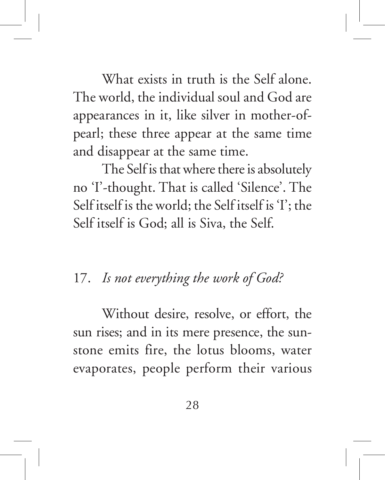What exists in truth is the Self alone. The world, the individual soul and God are appearances in it, like silver in mother-ofpearl; these three appear at the same time and disappear at the same time.

The Self is that where there is absolutely no 'I'-thought. That is called 'Silence'. The Self itself is the world; the Self itself is 'I'; the Self itself is God; all is Siva, the Self.

## 17. *Is not everything the work of God?*

Without desire, resolve, or effort, the sun rises; and in its mere presence, the sunstone emits fire, the lotus blooms, water evaporates, people perform their various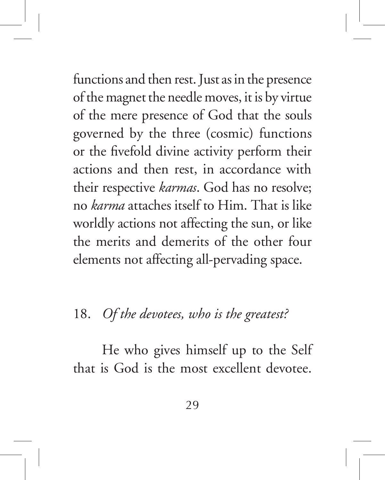functions and then rest. Just as in the presence of the magnet the needle moves, it is by virtue of the mere presence of God that the souls governed by the three (cosmic) functions or the fivefold divine activity perform their actions and then rest, in accordance with their respective *karmas*. God has no resolve; no *karma* attaches itself to Him. That is like worldly actions not affecting the sun, or like the merits and demerits of the other four elements not affecting all-pervading space.

#### 18. *Of the devotees, who is the greatest?*

He who gives himself up to the Self that is God is the most excellent devotee.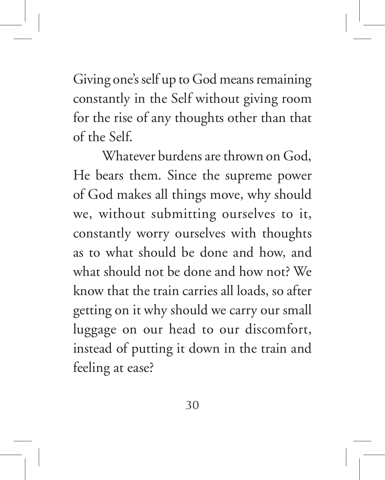Giving one's self up to God means remaining constantly in the Self without giving room for the rise of any thoughts other than that of the Self.

Whatever burdens are thrown on God, He bears them. Since the supreme power of God makes all things move, why should we, without submitting ourselves to it, constantly worry ourselves with thoughts as to what should be done and how, and what should not be done and how not? We know that the train carries all loads, so after getting on it why should we carry our small luggage on our head to our discomfort, instead of putting it down in the train and feeling at ease?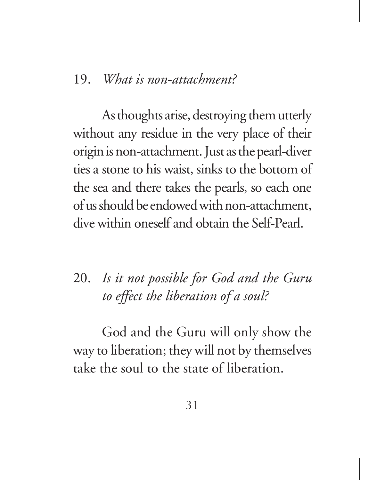#### 19. *What is non-attachment?*

As thoughts arise, destroying them utterly without any residue in the very place of their origin is non-attachment. Just as the pearl-diver ties a stone to his waist, sinks to the bottom of the sea and there takes the pearls, so each one of us should be endowed with non-attachment, dive within oneself and obtain the Self-Pearl.

20. *Is it not possible for God and the Guru to effect the liberation of a soul?*

God and the Guru will only show the way to liberation; they will not by themselves take the soul to the state of liberation.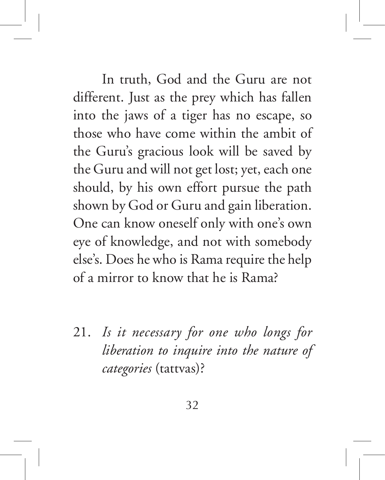In truth, God and the Guru are not different. Just as the prey which has fallen into the jaws of a tiger has no escape, so those who have come within the ambit of the Guru's gracious look will be saved by the Guru and will not get lost; yet, each one should, by his own effort pursue the path shown by God or Guru and gain liberation. One can know oneself only with one's own eye of knowledge, and not with somebody else's. Does he who is Rama require the help of a mirror to know that he is Rama?

21. *Is it necessary for one who longs for liberation to inquire into the nature of categories* (tattvas)?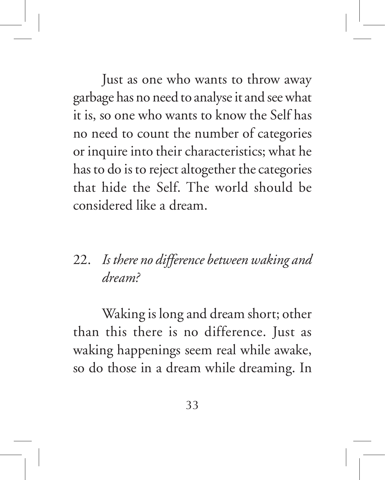Just as one who wants to throw away garbage has no need to analyse it and see what it is, so one who wants to know the Self has no need to count the number of categories or inquire into their characteristics; what he has to do is to reject altogether the categories that hide the Self. The world should be considered like a dream.

# 22. *Is there no difference between waking and dream?*

Waking is long and dream short; other than this there is no difference. Just as waking happenings seem real while awake, so do those in a dream while dreaming. In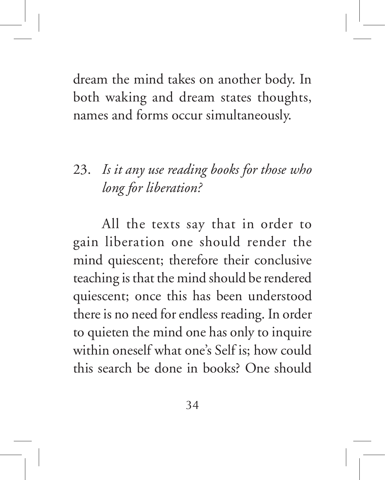dream the mind takes on another body. In both waking and dream states thoughts, names and forms occur simultaneously.

# 23. *Is it any use reading books for those who long for liberation?*

All the texts say that in order to gain liberation one should render the mind quiescent; therefore their conclusive teaching is that the mind should be rendered quiescent; once this has been understood there is no need for endless reading. In order to quieten the mind one has only to inquire within oneself what one's Self is; how could this search be done in books? One should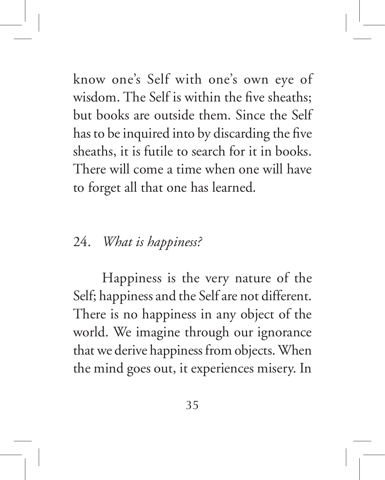know one's Self with one's own eye of wisdom. The Self is within the five sheaths; but books are outside them. Since the Self has to be inquired into by discarding the five sheaths, it is futile to search for it in books. There will come a time when one will have to forget all that one has learned.

## 24. *What is happiness?*

Happiness is the very nature of the Self; happiness and the Self are not different. There is no happiness in any object of the world. We imagine through our ignorance that we derive happiness from objects. When the mind goes out, it experiences misery. In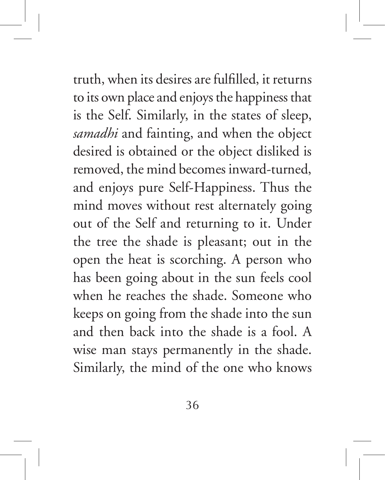truth, when its desires are fulfilled, it returns to its own place and enjoys the happiness that is the Self. Similarly, in the states of sleep, *samadhi* and fainting, and when the object desired is obtained or the object disliked is removed, the mind becomes inward-turned, and enjoys pure Self-Happiness. Thus the mind moves without rest alternately going out of the Self and returning to it. Under the tree the shade is pleasant; out in the open the heat is scorching. A person who has been going about in the sun feels cool when he reaches the shade. Someone who keeps on going from the shade into the sun and then back into the shade is a fool. A wise man stays permanently in the shade. Similarly, the mind of the one who knows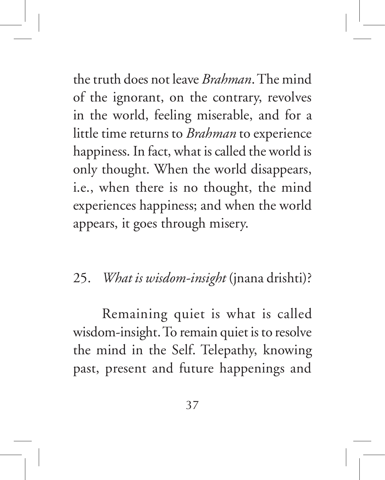the truth does not leave *Brahman*. The mind of the ignorant, on the contrary, revolves in the world, feeling miserable, and for a little time returns to *Brahman* to experience happiness. In fact, what is called the world is only thought. When the world disappears, i.e., when there is no thought, the mind experiences happiness; and when the world appears, it goes through misery.

# 25. *What is wisdom-insight* (jnana drishti)?

Remaining quiet is what is called wisdom-insight. To remain quiet is to resolve the mind in the Self. Telepathy, knowing past, present and future happenings and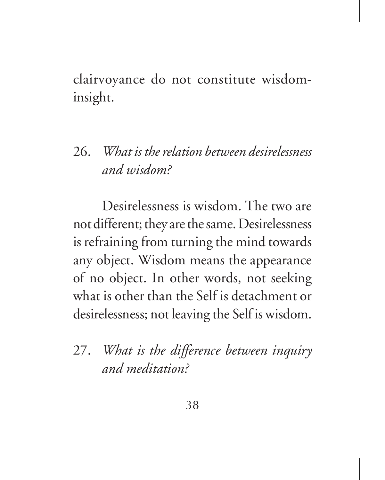clairvoyance do not constitute wisdominsight.

# 26. *What is the relation between desirelessness and wisdom?*

Desirelessness is wisdom. The two are not different; they are the same. Desirelessness is refraining from turning the mind towards any object. Wisdom means the appearance of no object. In other words, not seeking what is other than the Self is detachment or desirelessness; not leaving the Self is wisdom.

# 27. *What is the difference between inquiry and meditation?*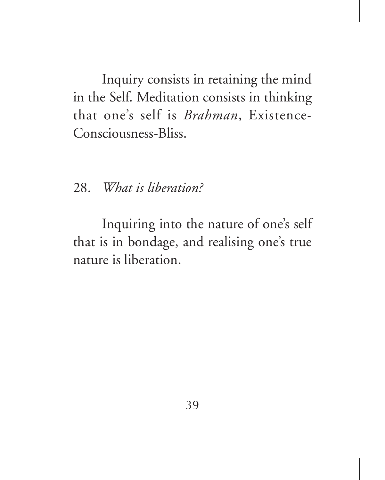Inquiry consists in retaining the mind in the Self. Meditation consists in thinking that one's self is *Brahman*, Existence-Consciousness-Bliss.

28. *What is liberation?*

Inquiring into the nature of one's self that is in bondage, and realising one's true nature is liberation.